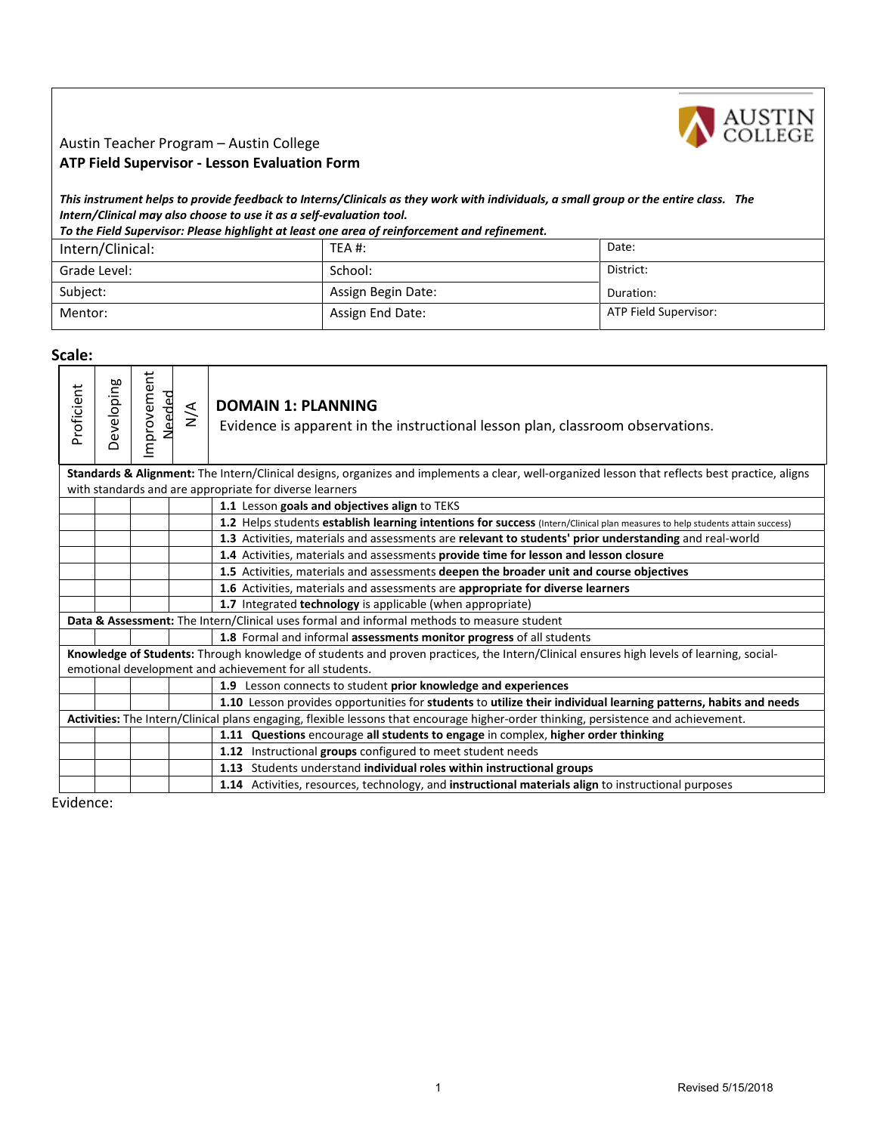

## Austin Teacher Program – Austin College **ATP Field Supervisor - Lesson Evaluation Form**

*This instrument helps to provide feedback to Interns/Clinicals as they work with individuals, a small group or the entire class. The Intern/Clinical may also choose to use it as a self-evaluation tool.* 

| Intern/Clinical: | TEA #:             | Date:                 |
|------------------|--------------------|-----------------------|
| Grade Level:     | School:            | District:             |
| Subject:         | Assign Begin Date: | Duration:             |
| Mentor:          | Assign End Date:   | ATP Field Supervisor: |

**Scale:** 

| Proficient | eveloping                                                                                                                                                                                          | Improvement<br>Needed | $\frac{4}{2}$ | <b>DOMAIN 1: PLANNING</b><br>Evidence is apparent in the instructional lesson plan, classroom observations.                                                                                                |  |
|------------|----------------------------------------------------------------------------------------------------------------------------------------------------------------------------------------------------|-----------------------|---------------|------------------------------------------------------------------------------------------------------------------------------------------------------------------------------------------------------------|--|
|            |                                                                                                                                                                                                    |                       |               | Standards & Alignment: The Intern/Clinical designs, organizes and implements a clear, well-organized lesson that reflects best practice, aligns<br>with standards and are appropriate for diverse learners |  |
|            |                                                                                                                                                                                                    |                       |               | 1.1 Lesson goals and objectives align to TEKS                                                                                                                                                              |  |
|            |                                                                                                                                                                                                    |                       |               | 1.2 Helps students establish learning intentions for success (Intern/Clinical plan measures to help students attain success)                                                                               |  |
|            |                                                                                                                                                                                                    |                       |               | 1.3 Activities, materials and assessments are relevant to students' prior understanding and real-world                                                                                                     |  |
|            |                                                                                                                                                                                                    |                       |               | 1.4 Activities, materials and assessments provide time for lesson and lesson closure                                                                                                                       |  |
|            |                                                                                                                                                                                                    |                       |               | 1.5 Activities, materials and assessments deepen the broader unit and course objectives                                                                                                                    |  |
|            |                                                                                                                                                                                                    |                       |               | 1.6 Activities, materials and assessments are appropriate for diverse learners                                                                                                                             |  |
|            |                                                                                                                                                                                                    |                       |               | 1.7 Integrated technology is applicable (when appropriate)                                                                                                                                                 |  |
|            | Data & Assessment: The Intern/Clinical uses formal and informal methods to measure student                                                                                                         |                       |               |                                                                                                                                                                                                            |  |
|            |                                                                                                                                                                                                    |                       |               | 1.8 Formal and informal assessments monitor progress of all students                                                                                                                                       |  |
|            | Knowledge of Students: Through knowledge of students and proven practices, the Intern/Clinical ensures high levels of learning, social-<br>emotional development and achievement for all students. |                       |               |                                                                                                                                                                                                            |  |
|            |                                                                                                                                                                                                    |                       |               | 1.9 Lesson connects to student prior knowledge and experiences                                                                                                                                             |  |
|            |                                                                                                                                                                                                    |                       |               | 1.10 Lesson provides opportunities for students to utilize their individual learning patterns, habits and needs                                                                                            |  |
|            | Activities: The Intern/Clinical plans engaging, flexible lessons that encourage higher-order thinking, persistence and achievement.                                                                |                       |               |                                                                                                                                                                                                            |  |
|            |                                                                                                                                                                                                    |                       |               | 1.11 Questions encourage all students to engage in complex, higher order thinking                                                                                                                          |  |
|            |                                                                                                                                                                                                    |                       |               | 1.12 Instructional groups configured to meet student needs                                                                                                                                                 |  |
|            |                                                                                                                                                                                                    |                       |               | 1.13 Students understand individual roles within instructional groups                                                                                                                                      |  |
|            |                                                                                                                                                                                                    |                       |               | 1.14 Activities, resources, technology, and instructional materials align to instructional purposes                                                                                                        |  |

Evidence: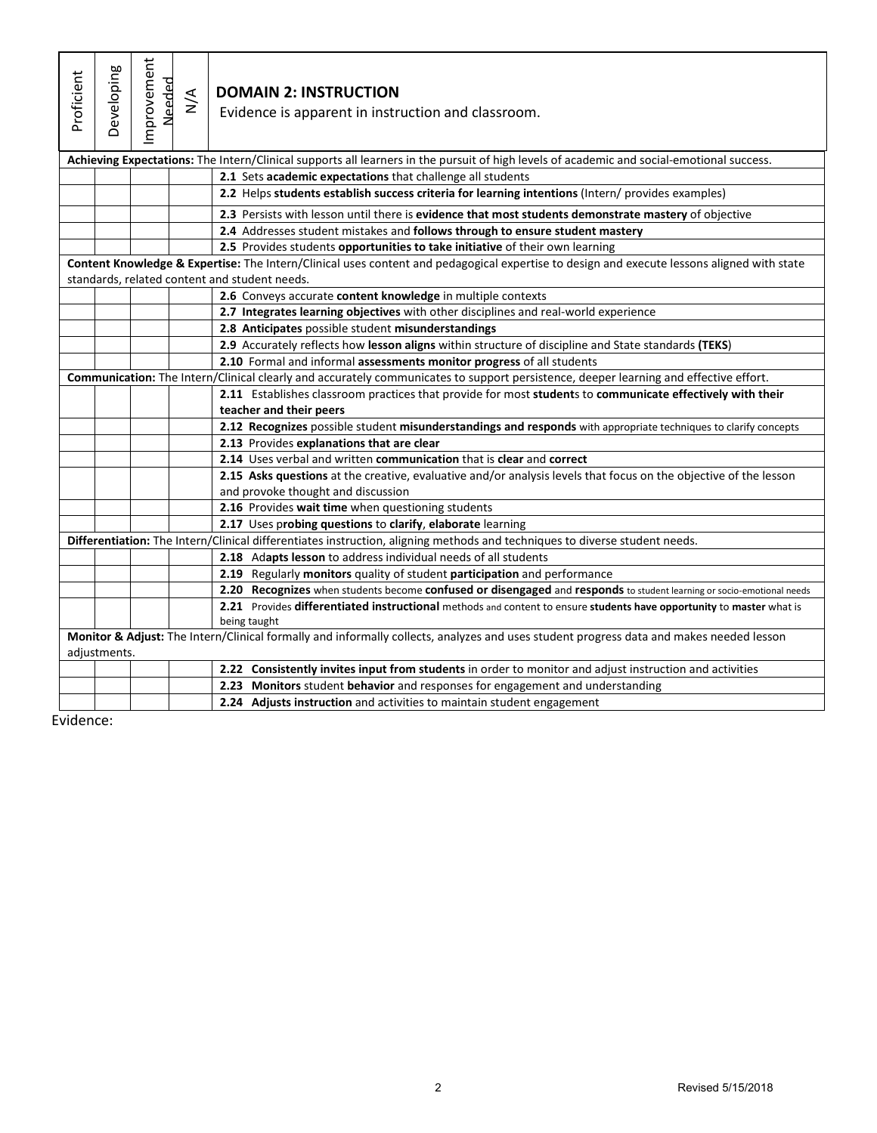| Proficient | Developing                                                                                                                           | mprovement<br>Needed | $\frac{4}{\sqrt{2}}$ | <b>DOMAIN 2: INSTRUCTION</b><br>Evidence is apparent in instruction and classroom.                                                                                                          |  |  |
|------------|--------------------------------------------------------------------------------------------------------------------------------------|----------------------|----------------------|---------------------------------------------------------------------------------------------------------------------------------------------------------------------------------------------|--|--|
|            |                                                                                                                                      |                      |                      | Achieving Expectations: The Intern/Clinical supports all learners in the pursuit of high levels of academic and social-emotional success.                                                   |  |  |
|            |                                                                                                                                      |                      |                      | 2.1 Sets academic expectations that challenge all students                                                                                                                                  |  |  |
|            |                                                                                                                                      |                      |                      | 2.2 Helps students establish success criteria for learning intentions (Intern/ provides examples)                                                                                           |  |  |
|            |                                                                                                                                      |                      |                      | 2.3 Persists with lesson until there is evidence that most students demonstrate mastery of objective                                                                                        |  |  |
|            |                                                                                                                                      |                      |                      | 2.4 Addresses student mistakes and follows through to ensure student mastery                                                                                                                |  |  |
|            |                                                                                                                                      |                      |                      | 2.5 Provides students opportunities to take initiative of their own learning                                                                                                                |  |  |
|            |                                                                                                                                      |                      |                      | Content Knowledge & Expertise: The Intern/Clinical uses content and pedagogical expertise to design and execute lessons aligned with state<br>standards, related content and student needs. |  |  |
|            |                                                                                                                                      |                      |                      | 2.6 Conveys accurate content knowledge in multiple contexts                                                                                                                                 |  |  |
|            |                                                                                                                                      |                      |                      | 2.7 Integrates learning objectives with other disciplines and real-world experience                                                                                                         |  |  |
|            |                                                                                                                                      |                      |                      | 2.8 Anticipates possible student misunderstandings                                                                                                                                          |  |  |
|            |                                                                                                                                      |                      |                      | 2.9 Accurately reflects how lesson aligns within structure of discipline and State standards (TEKS)                                                                                         |  |  |
|            |                                                                                                                                      |                      |                      | 2.10 Formal and informal assessments monitor progress of all students                                                                                                                       |  |  |
|            | Communication: The Intern/Clinical clearly and accurately communicates to support persistence, deeper learning and effective effort. |                      |                      |                                                                                                                                                                                             |  |  |
|            |                                                                                                                                      |                      |                      | 2.11 Establishes classroom practices that provide for most students to communicate effectively with their                                                                                   |  |  |
|            |                                                                                                                                      |                      |                      | teacher and their peers                                                                                                                                                                     |  |  |
|            |                                                                                                                                      |                      |                      | 2.12 Recognizes possible student misunderstandings and responds with appropriate techniques to clarify concepts                                                                             |  |  |
|            |                                                                                                                                      |                      |                      | 2.13 Provides explanations that are clear                                                                                                                                                   |  |  |
|            |                                                                                                                                      |                      |                      | 2.14 Uses verbal and written communication that is clear and correct                                                                                                                        |  |  |
|            |                                                                                                                                      |                      |                      | 2.15 Asks questions at the creative, evaluative and/or analysis levels that focus on the objective of the lesson                                                                            |  |  |
|            |                                                                                                                                      |                      |                      | and provoke thought and discussion                                                                                                                                                          |  |  |
|            | 2.16 Provides wait time when questioning students                                                                                    |                      |                      |                                                                                                                                                                                             |  |  |
|            |                                                                                                                                      |                      |                      | 2.17 Uses probing questions to clarify, elaborate learning                                                                                                                                  |  |  |
|            |                                                                                                                                      |                      |                      | Differentiation: The Intern/Clinical differentiates instruction, aligning methods and techniques to diverse student needs.                                                                  |  |  |
|            |                                                                                                                                      |                      |                      | 2.18 Adapts lesson to address individual needs of all students                                                                                                                              |  |  |
|            |                                                                                                                                      |                      |                      | 2.19 Regularly monitors quality of student participation and performance                                                                                                                    |  |  |
|            | 2.20 Recognizes when students become confused or disengaged and responds to student learning or socio-emotional needs                |                      |                      |                                                                                                                                                                                             |  |  |
|            |                                                                                                                                      |                      |                      | 2.21 Provides differentiated instructional methods and content to ensure students have opportunity to master what is                                                                        |  |  |
|            |                                                                                                                                      |                      |                      | being taught<br>Monitor & Adjust: The Intern/Clinical formally and informally collects, analyzes and uses student progress data and makes needed lesson                                     |  |  |
|            | adjustments.                                                                                                                         |                      |                      |                                                                                                                                                                                             |  |  |
|            |                                                                                                                                      |                      |                      | 2.22 Consistently invites input from students in order to monitor and adjust instruction and activities                                                                                     |  |  |
|            |                                                                                                                                      |                      |                      | 2.23 Monitors student behavior and responses for engagement and understanding                                                                                                               |  |  |
|            |                                                                                                                                      |                      |                      | 2.24 Adjusts instruction and activities to maintain student engagement                                                                                                                      |  |  |

Evidence: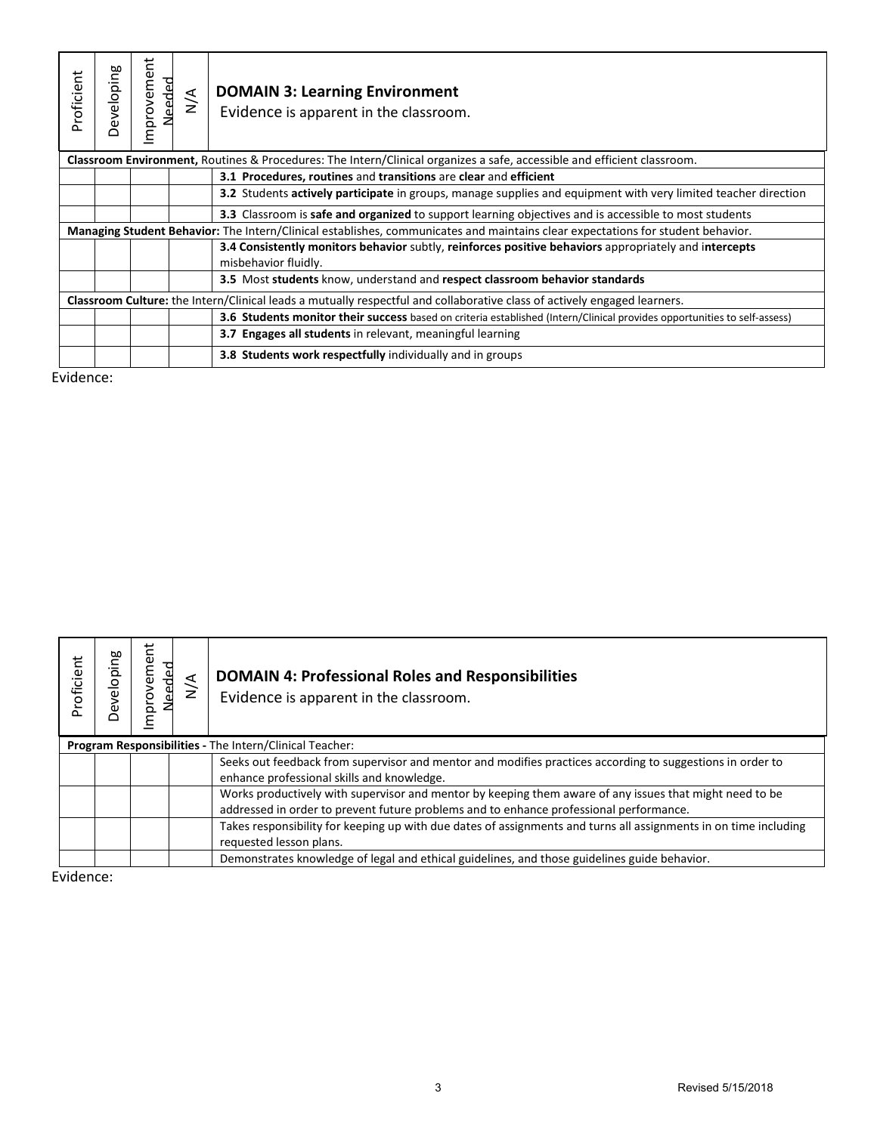| Proficient | Developing                                                                                                               | ť<br>Improveme<br>Needed | $\frac{4}{2}$ | <b>DOMAIN 3: Learning Environment</b><br>Evidence is apparent in the classroom.                                                 |  |  |
|------------|--------------------------------------------------------------------------------------------------------------------------|--------------------------|---------------|---------------------------------------------------------------------------------------------------------------------------------|--|--|
|            |                                                                                                                          |                          |               | Classroom Environment, Routines & Procedures: The Intern/Clinical organizes a safe, accessible and efficient classroom.         |  |  |
|            |                                                                                                                          |                          |               | 3.1 Procedures, routines and transitions are clear and efficient                                                                |  |  |
|            |                                                                                                                          |                          |               | <b>3.2</b> Students actively participate in groups, manage supplies and equipment with very limited teacher direction           |  |  |
|            |                                                                                                                          |                          |               | <b>3.3</b> Classroom is <b>safe and organized</b> to support learning objectives and is accessible to most students             |  |  |
|            |                                                                                                                          |                          |               | Managing Student Behavior: The Intern/Clinical establishes, communicates and maintains clear expectations for student behavior. |  |  |
|            |                                                                                                                          |                          |               | 3.4 Consistently monitors behavior subtly, reinforces positive behaviors appropriately and intercepts<br>misbehavior fluidly.   |  |  |
|            |                                                                                                                          |                          |               | 3.5 Most students know, understand and respect classroom behavior standards                                                     |  |  |
|            | Classroom Culture: the Intern/Clinical leads a mutually respectful and collaborative class of actively engaged learners. |                          |               |                                                                                                                                 |  |  |
|            |                                                                                                                          |                          |               | 3.6 Students monitor their success based on criteria established (Intern/Clinical provides opportunities to self-assess)        |  |  |
|            |                                                                                                                          |                          |               | <b>3.7 Engages all students</b> in relevant, meaningful learning                                                                |  |  |
|            |                                                                                                                          |                          |               | <b>3.8 Students work respectfully individually and in groups</b>                                                                |  |  |

Evidence:

| <b>Proficient</b> | Jeveloping | mprovement<br>ded<br>d<br>Nee<br>Z | $\frac{4}{2}$                                                                                                                                                                                     | <b>DOMAIN 4: Professional Roles and Responsibilities</b><br>Evidence is apparent in the classroom.                                                      |
|-------------------|------------|------------------------------------|---------------------------------------------------------------------------------------------------------------------------------------------------------------------------------------------------|---------------------------------------------------------------------------------------------------------------------------------------------------------|
|                   |            |                                    |                                                                                                                                                                                                   | Program Responsibilities - The Intern/Clinical Teacher:                                                                                                 |
|                   |            |                                    |                                                                                                                                                                                                   | Seeks out feedback from supervisor and mentor and modifies practices according to suggestions in order to<br>enhance professional skills and knowledge. |
|                   |            |                                    | Works productively with supervisor and mentor by keeping them aware of any issues that might need to be<br>addressed in order to prevent future problems and to enhance professional performance. |                                                                                                                                                         |
|                   |            |                                    |                                                                                                                                                                                                   | Takes responsibility for keeping up with due dates of assignments and turns all assignments in on time including<br>requested lesson plans.             |
|                   |            |                                    |                                                                                                                                                                                                   | Demonstrates knowledge of legal and ethical guidelines, and those guidelines guide behavior.                                                            |

Evidence: